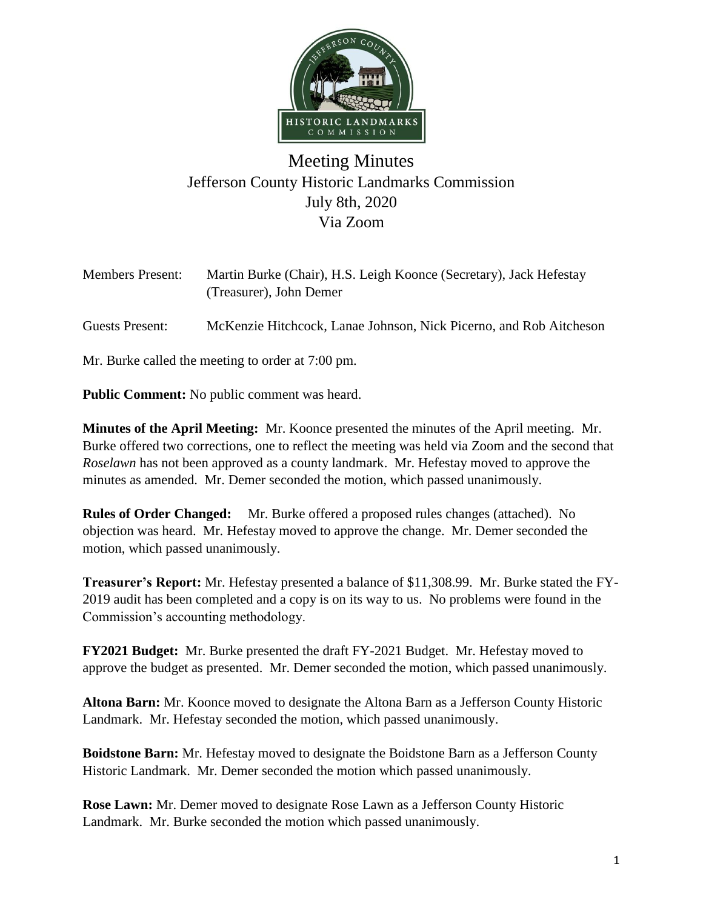

## Meeting Minutes Jefferson County Historic Landmarks Commission July 8th, 2020 Via Zoom

| <b>Members Present:</b> | Martin Burke (Chair), H.S. Leigh Koonce (Secretary), Jack Hefestay<br>(Treasurer), John Demer |
|-------------------------|-----------------------------------------------------------------------------------------------|
| Guests Present:         | McKenzie Hitchcock, Lanae Johnson, Nick Picerno, and Rob Aitcheson                            |
|                         | Mr. Burke called the meeting to order at 7:00 pm.                                             |

**Public Comment:** No public comment was heard.

**Minutes of the April Meeting:** Mr. Koonce presented the minutes of the April meeting. Mr. Burke offered two corrections, one to reflect the meeting was held via Zoom and the second that *Roselawn* has not been approved as a county landmark. Mr. Hefestay moved to approve the minutes as amended. Mr. Demer seconded the motion, which passed unanimously.

**Rules of Order Changed:** Mr. Burke offered a proposed rules changes (attached). No objection was heard. Mr. Hefestay moved to approve the change. Mr. Demer seconded the motion, which passed unanimously.

**Treasurer's Report:** Mr. Hefestay presented a balance of \$11,308.99. Mr. Burke stated the FY-2019 audit has been completed and a copy is on its way to us. No problems were found in the Commission's accounting methodology.

**FY2021 Budget:** Mr. Burke presented the draft FY-2021 Budget. Mr. Hefestay moved to approve the budget as presented. Mr. Demer seconded the motion, which passed unanimously.

**Altona Barn:** Mr. Koonce moved to designate the Altona Barn as a Jefferson County Historic Landmark. Mr. Hefestay seconded the motion, which passed unanimously.

**Boidstone Barn:** Mr. Hefestay moved to designate the Boidstone Barn as a Jefferson County Historic Landmark. Mr. Demer seconded the motion which passed unanimously.

**Rose Lawn:** Mr. Demer moved to designate Rose Lawn as a Jefferson County Historic Landmark. Mr. Burke seconded the motion which passed unanimously.